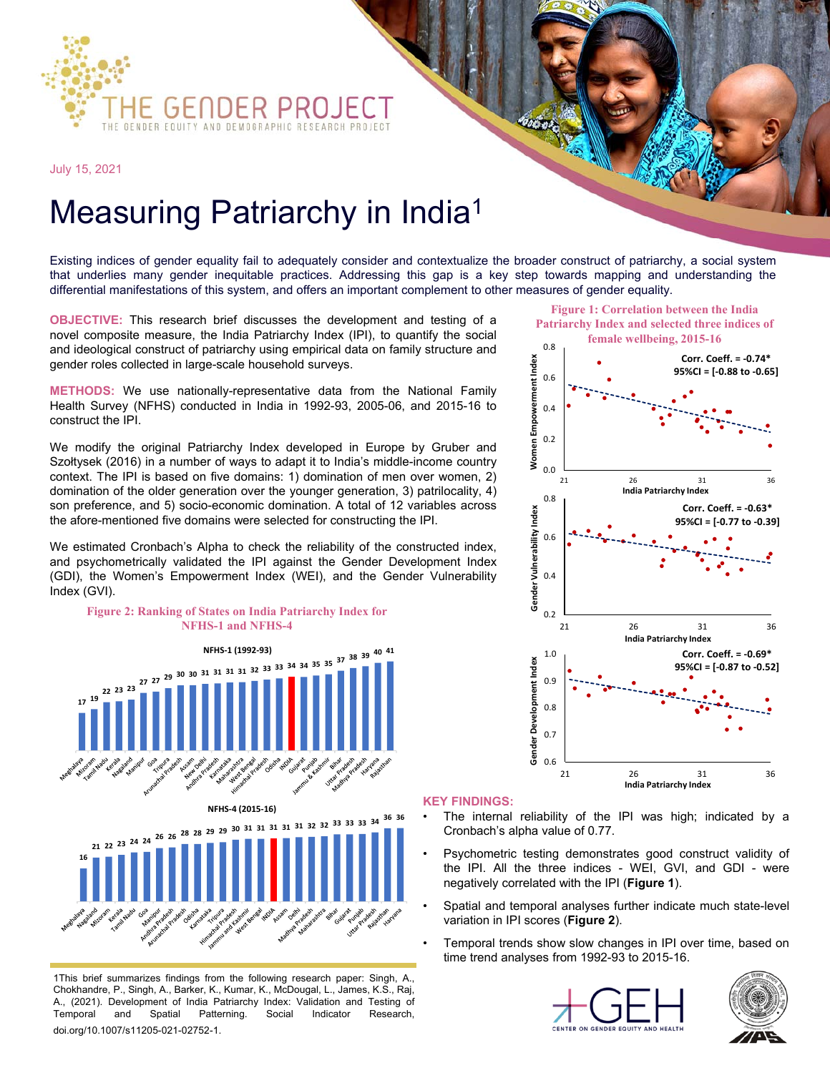

July 15, 2021

## Measuring Patriarchy in India<sup>1</sup>

Existing indices of gender equality fail to adequately consider and contextualize the broader construct of patriarchy, a social system that underlies many gender inequitable practices. Addressing this gap is a key step towards mapping and understanding the differential manifestations of this system, and offers an important complement to other measures of gender equality.

**OBJECTIVE:** This research brief discusses the development and testing of a novel composite measure, the India Patriarchy Index (IPI), to quantify the social and ideological construct of patriarchy using empirical data on family structure and gender roles collected in large-scale household surveys.

**METHODS:** We use nationally-representative data from the National Family Health Survey (NFHS) conducted in India in 1992-93, 2005-06, and 2015-16 to construct the IPI.

We modify the original Patriarchy Index developed in Europe by Gruber and Szołtysek (2016) in a number of ways to adapt it to India's middle-income country context. The IPI is based on five domains: 1) domination of men over women, 2) domination of the older generation over the younger generation, 3) patrilocality, 4) son preference, and 5) socio-economic domination. A total of 12 variables across the afore-mentioned five domains were selected for constructing the IPI.

We estimated Cronbach's Alpha to check the reliability of the constructed index, and psychometrically validated the IPI against the Gender Development Index (GDI), the Women's Empowerment Index (WEI), and the Gender Vulnerability Index (GVI).



1This brief summarizes findings from the following research paper: Singh, A., Chokhandre, P., Singh, A., Barker, K., Kumar, K., McDougal, L., James, K.S., Raj, A., (2021). Development of India Patriarchy Index: Validation and Testing of Temporal and Spatial Patterning. Social Indicator Research, doi.org/10.1007/s11205-021-02752-1.

- The internal reliability of the IPI was high; indicated by a Cronbach's alpha value of 0.77.
- Psychometric testing demonstrates good construct validity of the IPI. All the three indices - WEI, GVI, and GDI - were negatively correlated with the IPI (**Figure 1**).
- Spatial and temporal analyses further indicate much state-level variation in IPI scores (**Figure 2**).
- Temporal trends show slow changes in IPI over time, based on time trend analyses from 1992-93 to 2015-16.







**Figure 1: Correlation between the India Patriarchy Index and selected three indices of**